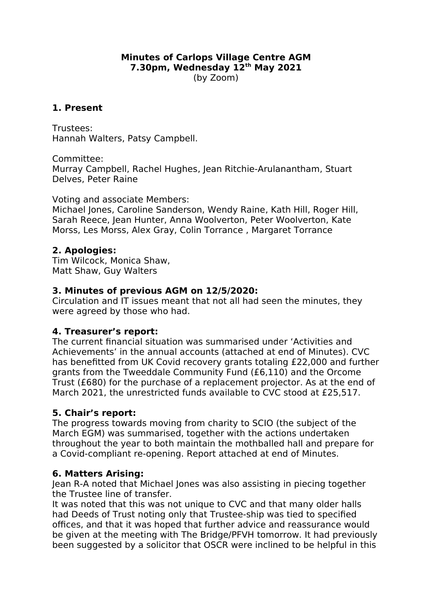#### **Minutes of Carlops Village Centre AGM 7.30pm, Wednesday 12th May 2021** (by Zoom)

## **1. Present**

Trustees: Hannah Walters, Patsy Campbell.

Committee: Murray Campbell, Rachel Hughes, Jean Ritchie-Arulanantham, Stuart Delves, Peter Raine

Voting and associate Members:

Michael Iones, Caroline Sanderson, Wendy Raine, Kath Hill, Roger Hill, Sarah Reece, Jean Hunter, Anna Woolverton, Peter Woolverton, Kate Morss, Les Morss, Alex Gray, Colin Torrance , Margaret Torrance

### **2. Apologies:**

Tim Wilcock, Monica Shaw, Matt Shaw, Guy Walters

### **3. Minutes of previous AGM on 12/5/2020:**

Circulation and IT issues meant that not all had seen the minutes, they were agreed by those who had.

### **4. Treasurer's report:**

The current financial situation was summarised under 'Activities and Achievements' in the annual accounts (attached at end of Minutes). CVC has benefitted from UK Covid recovery grants totaling £22,000 and further grants from the Tweeddale Community Fund (£6,110) and the Orcome Trust (£680) for the purchase of a replacement projector. As at the end of March 2021, the unrestricted funds available to CVC stood at £25,517.

# **5. Chair's report:**

The progress towards moving from charity to SCIO (the subject of the March EGM) was summarised, together with the actions undertaken throughout the year to both maintain the mothballed hall and prepare for a Covid-compliant re-opening. Report attached at end of Minutes.

### **6. Matters Arising:**

Jean R-A noted that Michael Jones was also assisting in piecing together the Trustee line of transfer.

It was noted that this was not unique to CVC and that many older halls had Deeds of Trust noting only that Trustee-ship was tied to specified offices, and that it was hoped that further advice and reassurance would be given at the meeting with The Bridge/PFVH tomorrow. It had previously been suggested by a solicitor that OSCR were inclined to be helpful in this